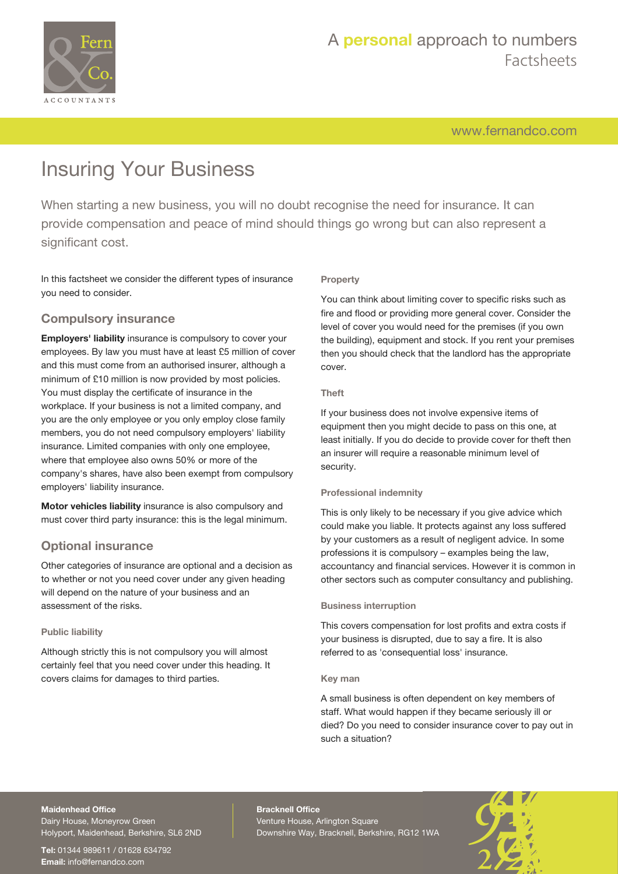

[www.fernandco.com](http://www.fernandco.com)

# Insuring Your Business

When starting a new business, you will no doubt recognise the need for insurance. It can provide compensation and peace of mind should things go wrong but can also represent a significant cost.

In this factsheet we consider the different types of insurance you need to consider.

### **Compulsory insurance**

**Employers' liability** insurance is compulsory to cover your employees. By law you must have at least £5 million of cover and this must come from an authorised insurer, although a minimum of £10 million is now provided by most policies. You must display the certificate of insurance in the workplace. If your business is not a limited company, and you are the only employee or you only employ close family members, you do not need compulsory employers' liability insurance. Limited companies with only one employee, where that employee also owns 50% or more of the company's shares, have also been exempt from compulsory employers' liability insurance.

**Motor vehicles liability** insurance is also compulsory and must cover third party insurance: this is the legal minimum.

### **Optional insurance**

Other categories of insurance are optional and a decision as to whether or not you need cover under any given heading will depend on the nature of your business and an assessment of the risks.

### **Public liability**

Although strictly this is not compulsory you will almost certainly feel that you need cover under this heading. It covers claims for damages to third parties.

### **Property**

You can think about limiting cover to specific risks such as fire and flood or providing more general cover. Consider the level of cover you would need for the premises (if you own the building), equipment and stock. If you rent your premises then you should check that the landlord has the appropriate cover.

### **Theft**

If your business does not involve expensive items of equipment then you might decide to pass on this one, at least initially. If you do decide to provide cover for theft then an insurer will require a reasonable minimum level of security.

### **Professional indemnity**

This is only likely to be necessary if you give advice which could make you liable. It protects against any loss suffered by your customers as a result of negligent advice. In some professions it is compulsory – examples being the law, accountancy and financial services. However it is common in other sectors such as computer consultancy and publishing.

#### **Business interruption**

This covers compensation for lost profits and extra costs if your business is disrupted, due to say a fire. It is also referred to as 'consequential loss' insurance.

#### **Key man**

A small business is often dependent on key members of staff. What would happen if they became seriously ill or died? Do you need to consider insurance cover to pay out in such a situation?

# **Maidenhead Office**

Dairy House, Moneyrow Green Holyport, Maidenhead, Berkshire, SL6 2ND

**Tel:** 01344 989611 / 01628 634792 **Email:** [info@fernandco.com](mailto:info@fernandco.com)

**Bracknell Office** Venture House, Arlington Square Downshire Way, Bracknell, Berkshire, RG12 1WA